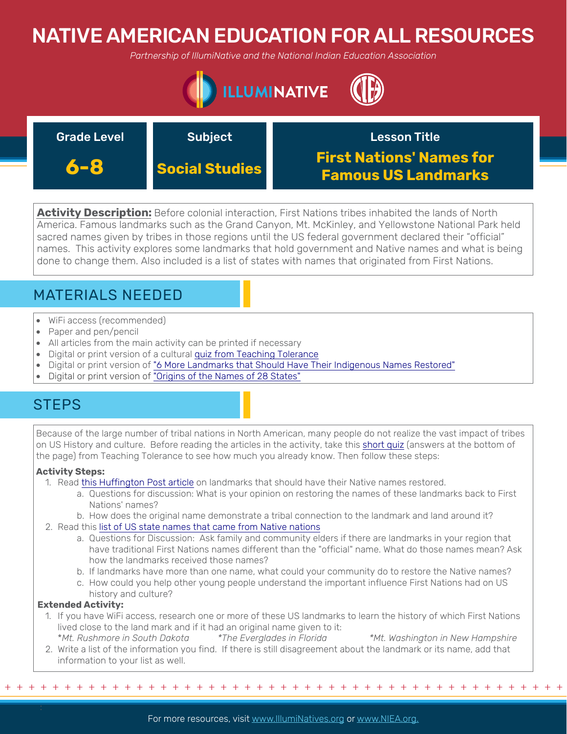# NATIVE AMERICAN EDUCATION FOR ALL RESOURCES

*Partnership of IllumiNative and the National Indian Education Association*



| <b>Grade Level</b> | <b>Subject</b>        | <b>Lesson Title</b>                                           |
|--------------------|-----------------------|---------------------------------------------------------------|
| 6-8                | <b>Social Studies</b> | <b>First Nations' Names for</b><br><b>Famous US Landmarks</b> |

**Activity Description:** Before colonial interaction, First Nations tribes inhabited the lands of North America. Famous landmarks such as the Grand Canyon, Mt. McKinley, and Yellowstone National Park held sacred names given by tribes in those regions until the US federal government declared their "official" names. This activity explores some landmarks that hold government and Native names and what is being done to change them. Also included is a list of states with names that originated from First Nations.

## MATERIALS NEEDED

- WiFi access (recommended)
- Paper and pen/pencil
- All articles from the main activity can be printed if necessary
- Digital or print version of a cultural [quiz from Teaching Tolerance](https://www.tolerance.org/classroom-resources/tolerance-lessons/native-american-influences-in-us-history-and-culture)
- [Digital or print version of "6 More Landmarks that Should Have Their Indigenous Names Restored"](https://www.huffpost.com/entry/landmarks-denali-indigenous-names_n_55e5f674e4b0aec9f354c572)
- Digital or print version of "O[rigins of the Names of 28 States"](http://www.americanindiansource.com/indianed/statesnames.html)

## **STEPS**

Because of the large number of tribal nations in North American, many people do not realize the vast impact of tribes on US History and culture. Before reading the articles in the activity, take this [short quiz](https://www.tolerance.org/classroom-resources/tolerance-lessons/native-american-influences-in-us-history-and-culture) (answers at the bottom of the page) from Teaching Tolerance to see how much you already know. Then follow these steps:

### **Activity Steps:**

- 1. Read t[his Huffington Post article](https://www.huffpost.com/entry/landmarks-denali-indigenous-names_n_55e5f674e4b0aec9f354c572) on landmarks that should have their Native names restored.
	- a. Questions for discussion: What is your opinion on [restoring the names of](https://www.youtube.com/watch?v=EDxo6Uh0asw) these landmarks back to First Nations' names?
	- b. How does the original name demonstrate a tribal connection to the landmark and land around it?
- 2. Read this [list of US state names that came from Native nations](http://www.americanindiansource.com/indianed/statesnames.html)
	- a. Questions for Discussion: Ask family and community elders if there are landmarks in your region that have traditional First Nations names different than the "official" name. What do those names mean? Ask how the landmarks received those names?
	- b. If landmarks have more than one name, what could your community do to restore the Native names?
	- c. How could you help other young people understand the important influence First Nations had on US history and culture?

### **Extended Activity:**

- 1. If you have WiFi access, research one or more of these US landmarks to learn the history of which First Nations lived close to the land mark and if it had an original name given to it: \**Mt. Rushmore in South Dakota \*The Everglades in Florida \*Mt. Washington in New Hampshire*
- 2. Write a list of the information you find. If there is still disagreement about the landmark or its name, add that information to your list as well.

+ + + + + + + + + + + + + + + + + + + + + + + + + + + + + + + + + + + + + + + + + + + + + + + +